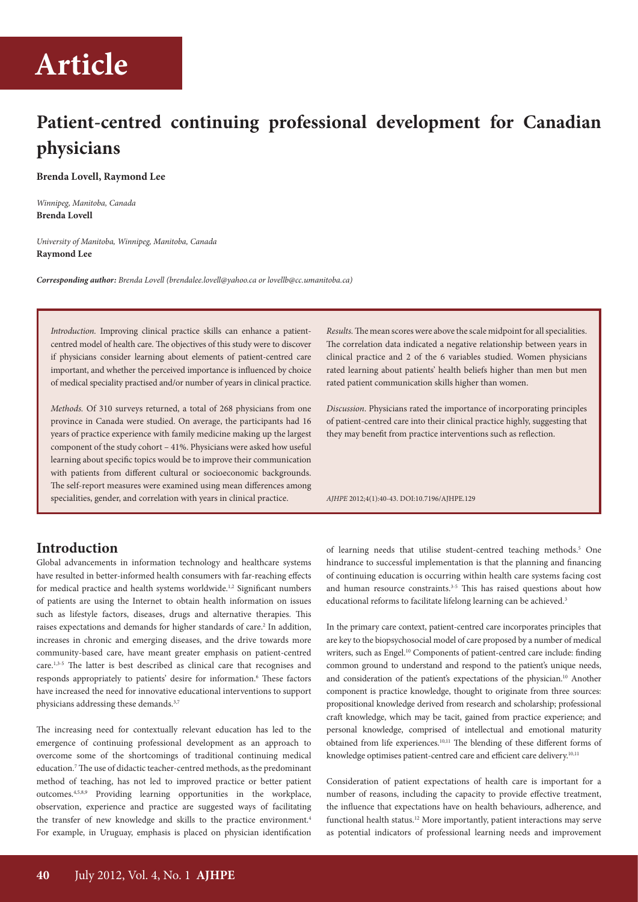# **Article**

# **Patient-centred continuing professional development for Canadian physicians**

**Brenda Lovell, Raymond Lee**

*Winnipeg, Manitoba, Canada* **Brenda Lovell**

*University of Manitoba, Winnipeg, Manitoba, Canada* **Raymond Lee** 

*Corresponding author: Brenda Lovell (brendalee.lovell@yahoo.ca or lovellb@cc.umanitoba.ca)*

*Introduction.* Improving clinical practice skills can enhance a patientcentred model of health care. The objectives of this study were to discover if physicians consider learning about elements of patient-centred care important, and whether the perceived importance is influenced by choice of medical speciality practised and/or number of years in clinical practice.

*Methods.* Of 310 surveys returned, a total of 268 physicians from one province in Canada were studied. On average, the participants had 16 years of practice experience with family medicine making up the largest component of the study cohort – 41%. Physicians were asked how useful learning about specific topics would be to improve their communication with patients from different cultural or socioeconomic backgrounds. The self-report measures were examined using mean differences among specialities, gender, and correlation with years in clinical practice.

## **Introduction**

Global advancements in information technology and healthcare systems have resulted in better-informed health consumers with far-reaching effects for medical practice and health systems worldwide.<sup>1,2</sup> Significant numbers of patients are using the Internet to obtain health information on issues such as lifestyle factors, diseases, drugs and alternative therapies. This raises expectations and demands for higher standards of care.<sup>2</sup> In addition, increases in chronic and emerging diseases, and the drive towards more community-based care, have meant greater emphasis on patient-centred care.1,3-5 The latter is best described as clinical care that recognises and responds appropriately to patients' desire for information.<sup>6</sup> These factors have increased the need for innovative educational interventions to support physicians addressing these demands.<sup>3,7</sup>

The increasing need for contextually relevant education has led to the emergence of continuing professional development as an approach to overcome some of the shortcomings of traditional continuing medical education.<sup>7</sup> The use of didactic teacher-centred methods, as the predominant method of teaching, has not led to improved practice or better patient outcomes.4,5,8,9 Providing learning opportunities in the workplace, observation, experience and practice are suggested ways of facilitating the transfer of new knowledge and skills to the practice environment.<sup>4</sup> For example, in Uruguay, emphasis is placed on physician identification

*Results.* The mean scores were above the scale midpoint for all specialities. The correlation data indicated a negative relationship between years in clinical practice and 2 of the 6 variables studied. Women physicians rated learning about patients' health beliefs higher than men but men rated patient communication skills higher than women.

*Discussion*. Physicians rated the importance of incorporating principles of patient-centred care into their clinical practice highly, suggesting that they may benefit from practice interventions such as reflection.

*AJHPE* 2012;4(1):40-43. DOI:10.7196/AJHPE.129

of learning needs that utilise student-centred teaching methods.<sup>5</sup> One hindrance to successful implementation is that the planning and financing of continuing education is occurring within health care systems facing cost and human resource constraints.<sup>3-5</sup> This has raised questions about how educational reforms to facilitate lifelong learning can be achieved.<sup>3</sup>

In the primary care context, patient-centred care incorporates principles that are key to the biopsychosocial model of care proposed by a number of medical writers, such as Engel.<sup>10</sup> Components of patient-centred care include: finding common ground to understand and respond to the patient's unique needs, and consideration of the patient's expectations of the physician.10 Another component is practice knowledge, thought to originate from three sources: propositional knowledge derived from research and scholarship; professional craft knowledge, which may be tacit, gained from practice experience; and personal knowledge, comprised of intellectual and emotional maturity obtained from life experiences.10,11 The blending of these different forms of knowledge optimises patient-centred care and efficient care delivery.<sup>10,11</sup>

Consideration of patient expectations of health care is important for a number of reasons, including the capacity to provide effective treatment, the influence that expectations have on health behaviours, adherence, and functional health status.12 More importantly, patient interactions may serve as potential indicators of professional learning needs and improvement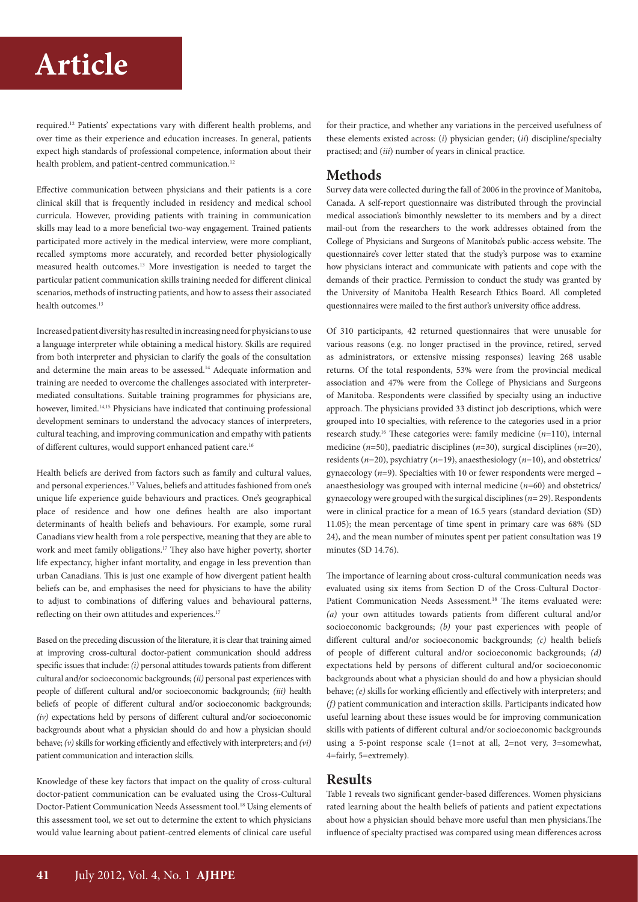# **Article**

required.12 Patients' expectations vary with different health problems, and over time as their experience and education increases. In general, patients expect high standards of professional competence, information about their health problem, and patient-centred communication.<sup>12</sup>

Effective communication between physicians and their patients is a core clinical skill that is frequently included in residency and medical school curricula. However, providing patients with training in communication skills may lead to a more beneficial two-way engagement. Trained patients participated more actively in the medical interview, were more compliant, recalled symptoms more accurately, and recorded better physiologically measured health outcomes.13 More investigation is needed to target the particular patient communication skills training needed for different clinical scenarios, methods of instructing patients, and how to assess their associated health outcomes.<sup>13</sup>

Increased patient diversity has resulted in increasing need for physicians to use a language interpreter while obtaining a medical history. Skills are required from both interpreter and physician to clarify the goals of the consultation and determine the main areas to be assessed.14 Adequate information and training are needed to overcome the challenges associated with interpretermediated consultations. Suitable training programmes for physicians are, however, limited.<sup>14,15</sup> Physicians have indicated that continuing professional development seminars to understand the advocacy stances of interpreters, cultural teaching, and improving communication and empathy with patients of different cultures, would support enhanced patient care.16

Health beliefs are derived from factors such as family and cultural values, and personal experiences.17 Values, beliefs and attitudes fashioned from one's unique life experience guide behaviours and practices. One's geographical place of residence and how one defines health are also important determinants of health beliefs and behaviours. For example, some rural Canadians view health from a role perspective, meaning that they are able to work and meet family obligations.<sup>17</sup> They also have higher poverty, shorter life expectancy, higher infant mortality, and engage in less prevention than urban Canadians. This is just one example of how divergent patient health beliefs can be, and emphasises the need for physicians to have the ability to adjust to combinations of differing values and behavioural patterns, reflecting on their own attitudes and experiences.<sup>17</sup>

Based on the preceding discussion of the literature, it is clear that training aimed at improving cross-cultural doctor-patient communication should address specific issues that include: *(i)* personal attitudes towards patients from different cultural and/or socioeconomic backgrounds; *(ii)* personal past experiences with people of different cultural and/or socioeconomic backgrounds; *(iii)* health beliefs of people of different cultural and/or socioeconomic backgrounds; *(iv)* expectations held by persons of different cultural and/or socioeconomic backgrounds about what a physician should do and how a physician should behave; *(v)* skills for working efficiently and effectively with interpreters; and *(vi)*  patient communication and interaction skills.

Knowledge of these key factors that impact on the quality of cross-cultural doctor-patient communication can be evaluated using the Cross-Cultural Doctor-Patient Communication Needs Assessment tool.18 Using elements of this assessment tool, we set out to determine the extent to which physicians would value learning about patient-centred elements of clinical care useful for their practice, and whether any variations in the perceived usefulness of these elements existed across: (*i*) physician gender; (*ii*) discipline/specialty practised; and (*iii*) number of years in clinical practice.

### **Methods**

Survey data were collected during the fall of 2006 in the province of Manitoba, Canada. A self-report questionnaire was distributed through the provincial medical association's bimonthly newsletter to its members and by a direct mail-out from the researchers to the work addresses obtained from the College of Physicians and Surgeons of Manitoba's public-access website. The questionnaire's cover letter stated that the study's purpose was to examine how physicians interact and communicate with patients and cope with the demands of their practice. Permission to conduct the study was granted by the University of Manitoba Health Research Ethics Board. All completed questionnaires were mailed to the first author's university office address.

Of 310 participants, 42 returned questionnaires that were unusable for various reasons (e.g. no longer practised in the province, retired, served as administrators, or extensive missing responses) leaving 268 usable returns. Of the total respondents, 53% were from the provincial medical association and 47% were from the College of Physicians and Surgeons of Manitoba. Respondents were classified by specialty using an inductive approach. The physicians provided 33 distinct job descriptions, which were grouped into 10 specialties, with reference to the categories used in a prior research study.16 These categories were: family medicine (*n*=110), internal medicine (*n*=50), paediatric disciplines (*n*=30), surgical disciplines (*n*=20), residents (*n*=20), psychiatry (*n*=19), anaesthesiology (*n*=10), and obstetrics/ gynaecology (*n*=9). Specialties with 10 or fewer respondents were merged – anaesthesiology was grouped with internal medicine (*n*=60) and obstetrics/ gynaecology were grouped with the surgical disciplines (*n*= 29). Respondents were in clinical practice for a mean of 16.5 years (standard deviation (SD) 11.05); the mean percentage of time spent in primary care was 68% (SD 24), and the mean number of minutes spent per patient consultation was 19 minutes (SD 14.76).

The importance of learning about cross-cultural communication needs was evaluated using six items from Section D of the Cross-Cultural Doctor-Patient Communication Needs Assessment.<sup>18</sup> The items evaluated were: *(a)* your own attitudes towards patients from different cultural and/or socioeconomic backgrounds; *(b)* your past experiences with people of different cultural and/or socioeconomic backgrounds; *(c)* health beliefs of people of different cultural and/or socioeconomic backgrounds; *(d)*  expectations held by persons of different cultural and/or socioeconomic backgrounds about what a physician should do and how a physician should behave; *(e)* skills for working efficiently and effectively with interpreters; and *(f)* patient communication and interaction skills. Participants indicated how useful learning about these issues would be for improving communication skills with patients of different cultural and/or socioeconomic backgrounds using a 5-point response scale (1=not at all, 2=not very, 3=somewhat, 4=fairly, 5=extremely).

## **Results**

Table 1 reveals two significant gender-based differences. Women physicians rated learning about the health beliefs of patients and patient expectations about how a physician should behave more useful than men physicians.The influence of specialty practised was compared using mean differences across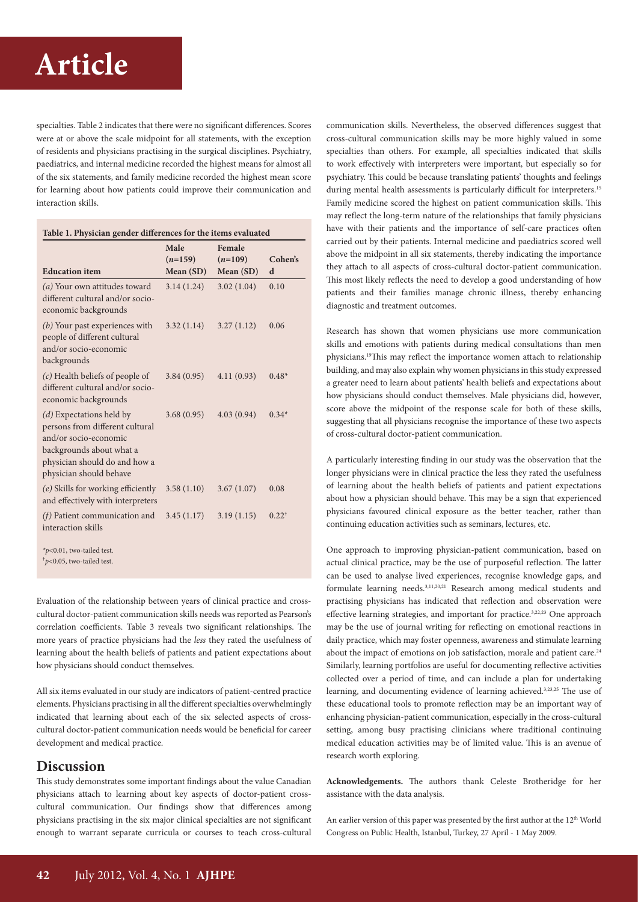# **Article**

specialties. Table 2 indicates that there were no significant differences. Scores were at or above the scale midpoint for all statements, with the exception of residents and physicians practising in the surgical disciplines. Psychiatry, paediatrics, and internal medicine recorded the highest means for almost all of the six statements, and family medicine recorded the highest mean score for learning about how patients could improve their communication and interaction skills.

| Table 1. Physician gender differences for the items evaluated                                                                                                                  |                                  |                                  |              |  |  |  |  |
|--------------------------------------------------------------------------------------------------------------------------------------------------------------------------------|----------------------------------|----------------------------------|--------------|--|--|--|--|
| <b>Education</b> item                                                                                                                                                          | Male<br>$(n=159)$<br>Mean $(SD)$ | Female<br>$(n=109)$<br>Mean (SD) | Cohen's<br>d |  |  |  |  |
| (a) Your own attitudes toward<br>different cultural and/or socio-<br>economic backgrounds                                                                                      | 3.14(1.24)                       | 3.02(1.04)                       | 0.10         |  |  |  |  |
| (b) Your past experiences with<br>people of different cultural<br>and/or socio-economic<br>backgrounds                                                                         | 3.32(1.14)                       | 3.27(1.12)                       | 0.06         |  |  |  |  |
| (c) Health beliefs of people of<br>different cultural and/or socio-<br>economic backgrounds                                                                                    | 3.84(0.95)                       | 4.11(0.93)                       | $0.48*$      |  |  |  |  |
| $(d)$ Expectations held by<br>persons from different cultural<br>and/or socio-economic<br>backgrounds about what a<br>physician should do and how a<br>physician should behave | 3.68(0.95)                       | 4.03(0.94)                       | $0.34*$      |  |  |  |  |
| $(e)$ Skills for working efficiently<br>and effectively with interpreters                                                                                                      | 3.58(1.10)                       | 3.67(1.07)                       | 0.08         |  |  |  |  |
| ( <i>f</i> ) Patient communication and<br>interaction skills                                                                                                                   | 3.45(1.17)                       | 3.19(1.15)                       | $0.22^+$     |  |  |  |  |
| * $p$ <0.01, two-tailed test.<br>$\phi$ <sub>7</sub> $\approx$ 0.05, two-tailed test.                                                                                          |                                  |                                  |              |  |  |  |  |

Evaluation of the relationship between years of clinical practice and crosscultural doctor-patient communication skills needs was reported as Pearson's correlation coefficients. Table 3 reveals two significant relationships. The more years of practice physicians had the *less* they rated the usefulness of learning about the health beliefs of patients and patient expectations about how physicians should conduct themselves.

All six items evaluated in our study are indicators of patient-centred practice elements. Physicians practising in all the different specialties overwhelmingly indicated that learning about each of the six selected aspects of crosscultural doctor-patient communication needs would be beneficial for career development and medical practice.

### **Discussion**

This study demonstrates some important findings about the value Canadian physicians attach to learning about key aspects of doctor-patient crosscultural communication. Our findings show that differences among physicians practising in the six major clinical specialties are not significant enough to warrant separate curricula or courses to teach cross-cultural

communication skills. Nevertheless, the observed differences suggest that cross-cultural communication skills may be more highly valued in some specialties than others. For example, all specialties indicated that skills to work effectively with interpreters were important, but especially so for psychiatry. This could be because translating patients' thoughts and feelings during mental health assessments is particularly difficult for interpreters.<sup>15</sup> Family medicine scored the highest on patient communication skills. This may reflect the long-term nature of the relationships that family physicians have with their patients and the importance of self-care practices often carried out by their patients. Internal medicine and paediatrics scored well above the midpoint in all six statements, thereby indicating the importance they attach to all aspects of cross-cultural doctor-patient communication. This most likely reflects the need to develop a good understanding of how patients and their families manage chronic illness, thereby enhancing diagnostic and treatment outcomes.

Research has shown that women physicians use more communication skills and emotions with patients during medical consultations than men physicians.19This may reflect the importance women attach to relationship building, and may also explain why women physicians in this study expressed a greater need to learn about patients' health beliefs and expectations about how physicians should conduct themselves. Male physicians did, however, score above the midpoint of the response scale for both of these skills, suggesting that all physicians recognise the importance of these two aspects of cross-cultural doctor-patient communication.

A particularly interesting finding in our study was the observation that the longer physicians were in clinical practice the less they rated the usefulness of learning about the health beliefs of patients and patient expectations about how a physician should behave. This may be a sign that experienced physicians favoured clinical exposure as the better teacher, rather than continuing education activities such as seminars, lectures, etc.

One approach to improving physician-patient communication, based on actual clinical practice, may be the use of purposeful reflection. The latter can be used to analyse lived experiences, recognise knowledge gaps, and formulate learning needs.3,11,20,21 Research among medical students and practising physicians has indicated that reflection and observation were effective learning strategies, and important for practice.<sup>3,22,23</sup> One approach may be the use of journal writing for reflecting on emotional reactions in daily practice, which may foster openness, awareness and stimulate learning about the impact of emotions on job satisfaction, morale and patient care.<sup>24</sup> Similarly, learning portfolios are useful for documenting reflective activities collected over a period of time, and can include a plan for undertaking learning, and documenting evidence of learning achieved.<sup>3,23,25</sup> The use of these educational tools to promote reflection may be an important way of enhancing physician-patient communication, especially in the cross-cultural setting, among busy practising clinicians where traditional continuing medical education activities may be of limited value. This is an avenue of research worth exploring.

**Acknowledgements.** The authors thank Celeste Brotheridge for her assistance with the data analysis.

An earlier version of this paper was presented by the first author at the 12<sup>th</sup> World Congress on Public Health, Istanbul, Turkey, 27 April - 1 May 2009.